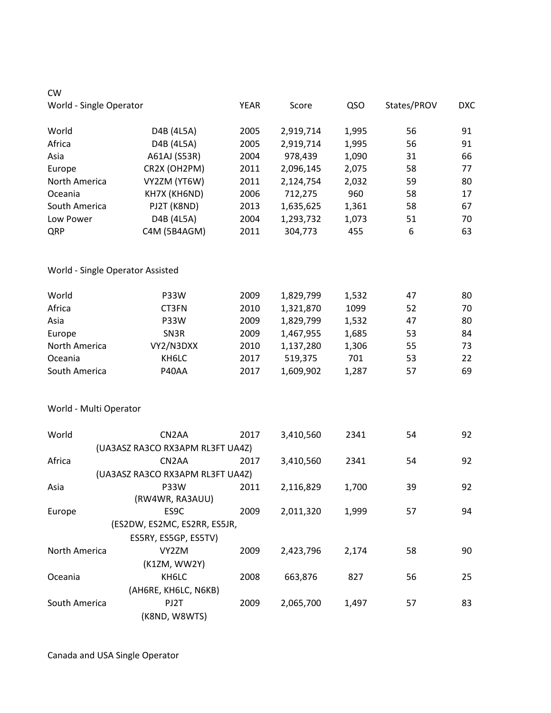| <b>CW</b>                        |                                  |             |           |       |             |            |
|----------------------------------|----------------------------------|-------------|-----------|-------|-------------|------------|
| World - Single Operator          |                                  | <b>YEAR</b> | Score     | QSO   | States/PROV | <b>DXC</b> |
| World                            | D4B (4L5A)                       | 2005        | 2,919,714 | 1,995 | 56          | 91         |
| Africa                           | D4B (4L5A)                       | 2005        | 2,919,714 | 1,995 | 56          | 91         |
| Asia                             | A61AJ (S53R)                     | 2004        | 978,439   | 1,090 | 31          | 66         |
| Europe                           | CR2X (OH2PM)                     | 2011        | 2,096,145 | 2,075 | 58          | 77         |
| North America                    | VY2ZM (YT6W)                     | 2011        | 2,124,754 | 2,032 | 59          | 80         |
| Oceania                          | KH7X (KH6ND)                     | 2006        | 712,275   | 960   | 58          | 17         |
| South America                    | PJ2T (K8ND)                      | 2013        | 1,635,625 | 1,361 | 58          | 67         |
| Low Power                        | D4B (4L5A)                       | 2004        | 1,293,732 | 1,073 | 51          | 70         |
| QRP                              | C4M (5B4AGM)                     | 2011        | 304,773   | 455   | 6           | 63         |
| World - Single Operator Assisted |                                  |             |           |       |             |            |
| World                            | P33W                             | 2009        | 1,829,799 | 1,532 | 47          | 80         |
| Africa                           | CT3FN                            | 2010        | 1,321,870 | 1099  | 52          | 70         |
| Asia                             | P33W                             | 2009        | 1,829,799 | 1,532 | 47          | 80         |
| Europe                           | SN3R                             | 2009        | 1,467,955 | 1,685 | 53          | 84         |
| North America                    | VY2/N3DXX                        | 2010        | 1,137,280 | 1,306 | 55          | 73         |
| Oceania                          | KH6LC                            | 2017        | 519,375   | 701   | 53          | 22         |
| South America                    | P40AA                            | 2017        | 1,609,902 | 1,287 | 57          | 69         |
| World - Multi Operator           |                                  |             |           |       |             |            |
| World                            | CN <sub>2</sub> AA               | 2017        | 3,410,560 | 2341  | 54          | 92         |
|                                  | (UA3ASZ RA3CO RX3APM RL3FT UA4Z) |             |           |       |             |            |
| Africa                           | CN <sub>2</sub> AA               | 2017        | 3,410,560 | 2341  | 54          | 92         |
|                                  | (UA3ASZ RA3CO RX3APM RL3FT UA4Z) |             |           |       |             |            |
| Asia                             | P33W                             | 2011        | 2,116,829 | 1,700 | 39          | 92         |
|                                  | (RW4WR, RA3AUU)                  |             |           |       |             |            |
| Europe                           | ES9C                             | 2009        | 2,011,320 | 1,999 | 57          | 94         |
|                                  | (ES2DW, ES2MC, ES2RR, ES5JR,     |             |           |       |             |            |
|                                  | ES5RY, ES5GP, ES5TV)             |             |           |       |             |            |
| North America                    | VY2ZM                            | 2009        | 2,423,796 | 2,174 | 58          | 90         |
|                                  | (K1ZM, WW2Y)                     |             |           |       |             |            |
| Oceania                          | KH6LC                            | 2008        | 663,876   | 827   | 56          | 25         |
|                                  | (AH6RE, KH6LC, N6KB)             |             |           |       |             |            |
| South America                    | PJ2T                             | 2009        | 2,065,700 | 1,497 | 57          | 83         |
|                                  | (K8ND, W8WTS)                    |             |           |       |             |            |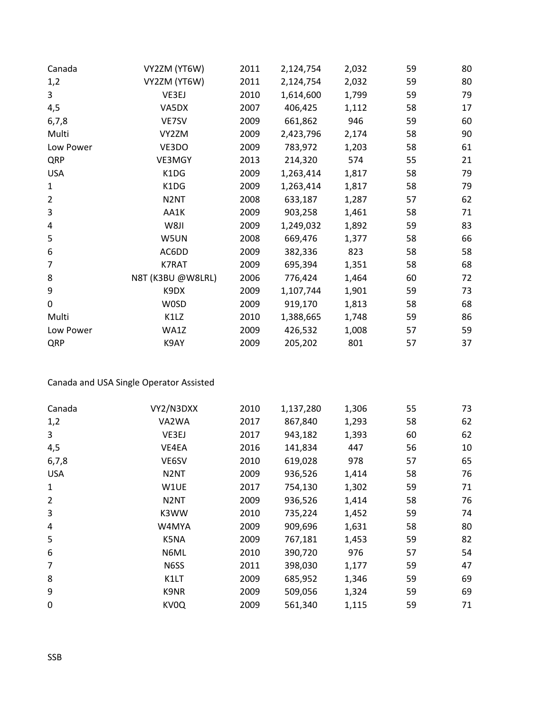| Canada         | VY2ZM (YT6W)      | 2011 | 2,124,754 | 2,032 | 59 | 80 |
|----------------|-------------------|------|-----------|-------|----|----|
| 1,2            | VY2ZM (YT6W)      | 2011 | 2,124,754 | 2,032 | 59 | 80 |
| 3              | VE3EJ             | 2010 | 1,614,600 | 1,799 | 59 | 79 |
| 4,5            | VA5DX             | 2007 | 406,425   | 1,112 | 58 | 17 |
| 6,7,8          | VE7SV             | 2009 | 661,862   | 946   | 59 | 60 |
| Multi          | VY2ZM             | 2009 | 2,423,796 | 2,174 | 58 | 90 |
| Low Power      | VE3DO             | 2009 | 783,972   | 1,203 | 58 | 61 |
| QRP            | VE3MGY            | 2013 | 214,320   | 574   | 55 | 21 |
| <b>USA</b>     | K1DG              | 2009 | 1,263,414 | 1,817 | 58 | 79 |
| 1              | K1DG              | 2009 | 1,263,414 | 1,817 | 58 | 79 |
| $\overline{2}$ | N <sub>2</sub> NT | 2008 | 633,187   | 1,287 | 57 | 62 |
| 3              | AA1K              | 2009 | 903,258   | 1,461 | 58 | 71 |
| 4              | W8JI              | 2009 | 1,249,032 | 1,892 | 59 | 83 |
| 5              | W5UN              | 2008 | 669,476   | 1,377 | 58 | 66 |
| 6              | AC6DD             | 2009 | 382,336   | 823   | 58 | 58 |
| 7              | K7RAT             | 2009 | 695,394   | 1,351 | 58 | 68 |
| 8              | N8T (K3BU @W8LRL) | 2006 | 776,424   | 1,464 | 60 | 72 |
| 9              | K9DX              | 2009 | 1,107,744 | 1,901 | 59 | 73 |
| 0              | <b>WOSD</b>       | 2009 | 919,170   | 1,813 | 58 | 68 |
| Multi          | K1LZ              | 2010 | 1,388,665 | 1,748 | 59 | 86 |
| Low Power      | WA1Z              | 2009 | 426,532   | 1,008 | 57 | 59 |
| QRP            | K9AY              | 2009 | 205,202   | 801   | 57 | 37 |

Canada and USA Single Operator Assisted

| Canada         | VY2/N3DXX         | 2010 | 1,137,280 | 1,306 | 55 | 73 |
|----------------|-------------------|------|-----------|-------|----|----|
| 1,2            | VA2WA             | 2017 | 867,840   | 1,293 | 58 | 62 |
| 3              | VE3EJ             | 2017 | 943,182   | 1,393 | 60 | 62 |
| 4,5            | VE4EA             | 2016 | 141,834   | 447   | 56 | 10 |
| 6,7,8          | VE6SV             | 2010 | 619,028   | 978   | 57 | 65 |
| <b>USA</b>     | N <sub>2</sub> NT | 2009 | 936,526   | 1,414 | 58 | 76 |
| 1              | W1UE              | 2017 | 754,130   | 1,302 | 59 | 71 |
| $\overline{2}$ | N <sub>2</sub> NT | 2009 | 936,526   | 1,414 | 58 | 76 |
| 3              | K3WW              | 2010 | 735,224   | 1,452 | 59 | 74 |
| 4              | W4MYA             | 2009 | 909,696   | 1,631 | 58 | 80 |
| 5              | K5NA              | 2009 | 767,181   | 1,453 | 59 | 82 |
| 6              | N6ML              | 2010 | 390,720   | 976   | 57 | 54 |
| $\overline{7}$ | N6SS              | 2011 | 398,030   | 1,177 | 59 | 47 |
| 8              | K1LT              | 2009 | 685,952   | 1,346 | 59 | 69 |
| 9              | K9NR              | 2009 | 509,056   | 1,324 | 59 | 69 |
| 0              | KV <sub>0</sub> Q | 2009 | 561,340   | 1,115 | 59 | 71 |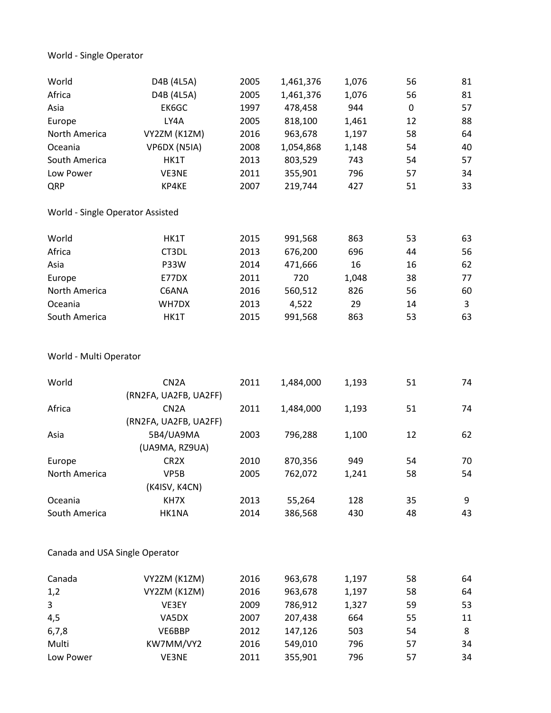World - Single Operator

| World                            | D4B (4L5A)                                 | 2005 | 1,461,376 | 1,076 | 56          | 81 |
|----------------------------------|--------------------------------------------|------|-----------|-------|-------------|----|
| Africa                           | D4B (4L5A)                                 | 2005 | 1,461,376 | 1,076 | 56          | 81 |
| Asia                             | EK6GC                                      | 1997 | 478,458   | 944   | $\mathbf 0$ | 57 |
| Europe                           | LY4A                                       | 2005 | 818,100   | 1,461 | 12          | 88 |
| North America                    | VY2ZM (K1ZM)                               | 2016 | 963,678   | 1,197 | 58          | 64 |
| Oceania                          | VP6DX (N5IA)                               | 2008 | 1,054,868 | 1,148 | 54          | 40 |
| South America                    | HK1T                                       | 2013 | 803,529   | 743   | 54          | 57 |
| Low Power                        | VE3NE                                      | 2011 | 355,901   | 796   | 57          | 34 |
| QRP                              | KP4KE                                      | 2007 | 219,744   | 427   | 51          | 33 |
| World - Single Operator Assisted |                                            |      |           |       |             |    |
| World                            | HK1T                                       | 2015 | 991,568   | 863   | 53          | 63 |
| Africa                           | CT3DL                                      | 2013 | 676,200   | 696   | 44          | 56 |
| Asia                             | P33W                                       | 2014 | 471,666   | 16    | 16          | 62 |
| Europe                           | E77DX                                      | 2011 | 720       | 1,048 | 38          | 77 |
| North America                    | C6ANA                                      | 2016 | 560,512   | 826   | 56          | 60 |
| Oceania                          | WH7DX                                      | 2013 | 4,522     | 29    | 14          | 3  |
| South America                    | HK1T                                       | 2015 | 991,568   | 863   | 53          | 63 |
| World - Multi Operator           |                                            |      |           |       |             |    |
| World                            | CN <sub>2</sub> A<br>(RN2FA, UA2FB, UA2FF) | 2011 | 1,484,000 | 1,193 | 51          | 74 |
| Africa                           | CN <sub>2</sub> A<br>(RN2FA, UA2FB, UA2FF) | 2011 | 1,484,000 | 1,193 | 51          | 74 |
| Asia                             | 5B4/UA9MA<br>(UA9MA, RZ9UA)                | 2003 | 796,288   | 1,100 | 12          | 62 |
| Europe                           | CR <sub>2</sub> X                          | 2010 | 870,356   | 949   | 54          | 70 |
| North America                    | VP5B                                       | 2005 | 762,072   | 1,241 | 58          | 54 |
|                                  | (K4ISV, K4CN)                              |      |           |       |             |    |
| Oceania                          | KH7X                                       | 2013 | 55,264    | 128   | 35          | 9  |
| South America                    | HK1NA                                      | 2014 | 386,568   | 430   | 48          | 43 |
| Canada and USA Single Operator   |                                            |      |           |       |             |    |
| Canada                           | VY2ZM (K1ZM)                               | 2016 | 963,678   | 1,197 | 58          | 64 |
| 1,2                              | VY2ZM (K1ZM)                               | 2016 | 963,678   | 1,197 | 58          | 64 |
| 3                                | VE3EY                                      | 2009 | 786,912   | 1,327 | 59          | 53 |
| 4,5                              | VA5DX                                      | 2007 | 207,438   | 664   | 55          | 11 |
| 6, 7, 8                          | VE6BBP                                     | 2012 | 147,126   | 503   | 54          | 8  |
| Multi                            | KW7MM/VY2                                  | 2016 | 549,010   | 796   | 57          | 34 |
| Low Power                        | VE3NE                                      | 2011 | 355,901   | 796   | 57          | 34 |
|                                  |                                            |      |           |       |             |    |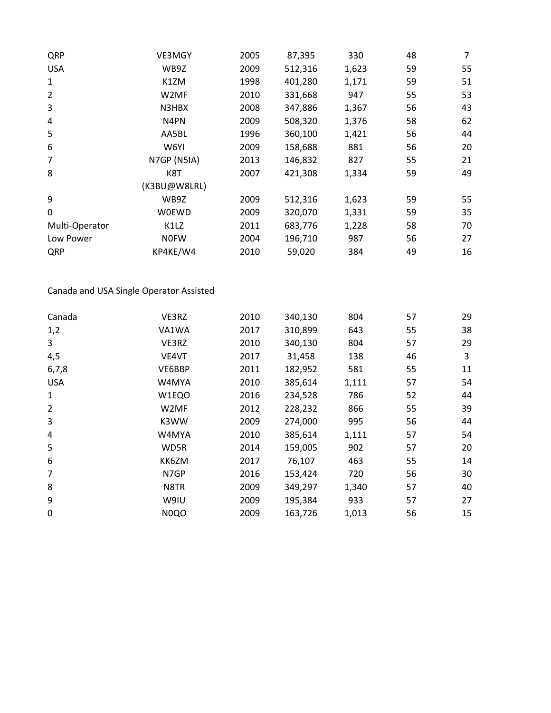| QRP            | VE3MGY            | 2005 | 87,395  | 330   | 48 | 7  |
|----------------|-------------------|------|---------|-------|----|----|
| <b>USA</b>     | WB9Z              | 2009 | 512,316 | 1,623 | 59 | 55 |
| 1              | K1ZM              | 1998 | 401,280 | 1,171 | 59 | 51 |
| $\overline{2}$ | W <sub>2</sub> MF | 2010 | 331,668 | 947   | 55 | 53 |
| 3              | N3HBX             | 2008 | 347,886 | 1,367 | 56 | 43 |
| 4              | N4PN              | 2009 | 508,320 | 1,376 | 58 | 62 |
| 5              | AA5BL             | 1996 | 360,100 | 1,421 | 56 | 44 |
| 6              | W6YI              | 2009 | 158,688 | 881   | 56 | 20 |
| 7              | N7GP (N5IA)       | 2013 | 146,832 | 827   | 55 | 21 |
| 8              | K8T               | 2007 | 421,308 | 1,334 | 59 | 49 |
|                | (K3BU@W8LRL)      |      |         |       |    |    |
| 9              | WB9Z              | 2009 | 512,316 | 1,623 | 59 | 55 |
| 0              | <b>W0EWD</b>      | 2009 | 320,070 | 1,331 | 59 | 35 |
| Multi-Operator | K1LZ              | 2011 | 683,776 | 1,228 | 58 | 70 |
| Low Power      | <b>NOFW</b>       | 2004 | 196,710 | 987   | 56 | 27 |
| QRP            | KP4KE/W4          | 2010 | 59,020  | 384   | 49 | 16 |
|                |                   |      |         |       |    |    |

Canada and USA Single Operator Assisted

| 55<br>1,2<br>310,899<br>VA1WA<br>2017<br>643<br>3<br>57<br>VE3RZ<br>340,130<br>2010<br>804<br>4,5<br>46<br>VE4VT<br>31,458<br>3<br>2017<br>138<br>55<br>VE6BBP<br>2011<br>182,952<br>6,7,8<br>581<br>57<br><b>USA</b><br>2010<br>385,614<br>W4MYA<br>1,111<br>52<br>$\mathbf{1}$<br>W1EQO<br>2016<br>234,528<br>786<br>$\overline{2}$<br>55<br>W2MF<br>2012<br>228,232<br>866<br>3<br>56<br>K3WW<br>2009<br>274,000<br>995<br>57<br>4<br>W4MYA<br>2010<br>385,614<br>1,111<br>5<br>57<br>159,005<br>WD5R<br>2014<br>902<br>6<br>55<br>KK6ZM<br>2017<br>76,107<br>463<br>7<br>N7GP<br>2016<br>153,424<br>720<br>56<br>8<br>57<br>N8TR<br>2009<br>349,297<br>1,340<br>9<br>57<br>W9IU<br>2009<br>195,384<br>933<br>0<br>N <sub>0</sub> Q <sub>O</sub><br>56<br>2009<br>163,726<br>1,013 | Canada | VE3RZ | 2010 | 340,130 | 804 | 57 | 29 |
|---------------------------------------------------------------------------------------------------------------------------------------------------------------------------------------------------------------------------------------------------------------------------------------------------------------------------------------------------------------------------------------------------------------------------------------------------------------------------------------------------------------------------------------------------------------------------------------------------------------------------------------------------------------------------------------------------------------------------------------------------------------------------------------|--------|-------|------|---------|-----|----|----|
|                                                                                                                                                                                                                                                                                                                                                                                                                                                                                                                                                                                                                                                                                                                                                                                       |        |       |      |         |     |    | 38 |
|                                                                                                                                                                                                                                                                                                                                                                                                                                                                                                                                                                                                                                                                                                                                                                                       |        |       |      |         |     |    | 29 |
|                                                                                                                                                                                                                                                                                                                                                                                                                                                                                                                                                                                                                                                                                                                                                                                       |        |       |      |         |     |    |    |
|                                                                                                                                                                                                                                                                                                                                                                                                                                                                                                                                                                                                                                                                                                                                                                                       |        |       |      |         |     |    | 11 |
|                                                                                                                                                                                                                                                                                                                                                                                                                                                                                                                                                                                                                                                                                                                                                                                       |        |       |      |         |     |    | 54 |
|                                                                                                                                                                                                                                                                                                                                                                                                                                                                                                                                                                                                                                                                                                                                                                                       |        |       |      |         |     |    | 44 |
|                                                                                                                                                                                                                                                                                                                                                                                                                                                                                                                                                                                                                                                                                                                                                                                       |        |       |      |         |     |    | 39 |
|                                                                                                                                                                                                                                                                                                                                                                                                                                                                                                                                                                                                                                                                                                                                                                                       |        |       |      |         |     |    | 44 |
|                                                                                                                                                                                                                                                                                                                                                                                                                                                                                                                                                                                                                                                                                                                                                                                       |        |       |      |         |     |    | 54 |
|                                                                                                                                                                                                                                                                                                                                                                                                                                                                                                                                                                                                                                                                                                                                                                                       |        |       |      |         |     |    | 20 |
|                                                                                                                                                                                                                                                                                                                                                                                                                                                                                                                                                                                                                                                                                                                                                                                       |        |       |      |         |     |    | 14 |
|                                                                                                                                                                                                                                                                                                                                                                                                                                                                                                                                                                                                                                                                                                                                                                                       |        |       |      |         |     |    | 30 |
|                                                                                                                                                                                                                                                                                                                                                                                                                                                                                                                                                                                                                                                                                                                                                                                       |        |       |      |         |     |    | 40 |
|                                                                                                                                                                                                                                                                                                                                                                                                                                                                                                                                                                                                                                                                                                                                                                                       |        |       |      |         |     |    | 27 |
|                                                                                                                                                                                                                                                                                                                                                                                                                                                                                                                                                                                                                                                                                                                                                                                       |        |       |      |         |     |    | 15 |